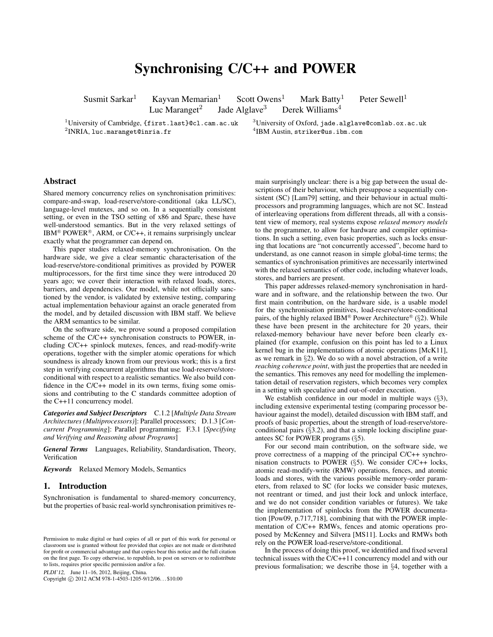# **Synchronising C/C++ and POWER**

Susmit Sarkar<sup>1</sup> Kayvan Memarian<sup>1</sup> Scott Owens<sup>1</sup> Mark Batty<sup>1</sup> Peter Sewell<sup>1</sup> Luc Maranget $^2$ 

Jade Alglave<sup>3</sup> Derek Williams<sup>4</sup>

 $^2$ INRIA, luc.maranget@inria.fr  $^4$ 

<sup>1</sup>University of Cambridge,  $\{first \text{.last}\}$ @cl.cam.ac.uk  $3$ University of Oxford, jade.alglave@comlab.ox.ac.uk  ${}^{4}$ IBM Austin, striker@us.ibm.com

# **Abstract**

Shared memory concurrency relies on synchronisation primitives: compare-and-swap, load-reserve/store-conditional (aka LL/SC), language-level mutexes, and so on. In a sequentially consistent setting, or even in the TSO setting of x86 and Sparc, these have well-understood semantics. But in the very relaxed settings of IBM<sup>®</sup> POWER<sup>®</sup>, ARM, or C/C++, it remains surprisingly unclear exactly what the programmer can depend on.

This paper studies relaxed-memory synchronisation. On the hardware side, we give a clear semantic characterisation of the load-reserve/store-conditional primitives as provided by POWER multiprocessors, for the first time since they were introduced 20 years ago; we cover their interaction with relaxed loads, stores, barriers, and dependencies. Our model, while not officially sanctioned by the vendor, is validated by extensive testing, comparing actual implementation behaviour against an oracle generated from the model, and by detailed discussion with IBM staff. We believe the ARM semantics to be similar.

On the software side, we prove sound a proposed compilation scheme of the C/C++ synchronisation constructs to POWER, including C/C++ spinlock mutexes, fences, and read-modify-write operations, together with the simpler atomic operations for which soundness is already known from our previous work; this is a first step in verifying concurrent algorithms that use load-reserve/storeconditional with respect to a realistic semantics. We also build confidence in the C/C++ model in its own terms, fixing some omissions and contributing to the C standards committee adoption of the C++11 concurrency model.

*Categories and Subject Descriptors* C.1.2 [*Multiple Data Stream Architectures (Multiprocessors)*]: Parallel processors; D.1.3 [*Concurrent Programming*]: Parallel programming; F.3.1 [*Specifying and Verifying and Reasoning about Programs*]

*General Terms* Languages, Reliability, Standardisation, Theory, Verification

*Keywords* Relaxed Memory Models, Semantics

# **1. Introduction**

Synchronisation is fundamental to shared-memory concurrency, but the properties of basic real-world synchronisation primitives re-

PLDI'12, June 11–16, 2012, Beijing, China.

Copyright © 2012 ACM 978-1-4503-1205-9/12/06... \$10.00

main surprisingly unclear: there is a big gap between the usual descriptions of their behaviour, which presuppose a sequentially consistent (SC) [Lam79] setting, and their behaviour in actual multiprocessors and programming languages, which are not SC. Instead of interleaving operations from different threads, all with a consistent view of memory, real systems expose *relaxed memory models* to the programmer, to allow for hardware and compiler optimisations. In such a setting, even basic properties, such as locks ensuring that locations are "not concurrently accessed", become hard to understand, as one cannot reason in simple global-time terms; the semantics of synchronisation primitives are necessarily intertwined with the relaxed semantics of other code, including whatever loads, stores, and barriers are present.

This paper addresses relaxed-memory synchronisation in hardware and in software, and the relationship between the two. Our first main contribution, on the hardware side, is a usable model for the synchronisation primitives, load-reserve/store-conditional pairs, of the highly relaxed IBM® Power Architecture® (§2). While these have been present in the architecture for 20 years, their relaxed-memory behaviour have never before been clearly explained (for example, confusion on this point has led to a Linux kernel bug in the implementations of atomic operations [McK11], as we remark in §2). We do so with a novel abstraction, of a write *reaching coherence point*, with just the properties that are needed in the semantics. This removes any need for modelling the implementation detail of reservation registers, which becomes very complex in a setting with speculative and out-of-order execution.

We establish confidence in our model in multiple ways  $(\S3)$ , including extensive experimental testing (comparing processor behaviour against the model), detailed discussion with IBM staff, and proofs of basic properties, about the strength of load-reserve/storeconditional pairs (§3.2), and that a simple locking discipline guarantees SC for POWER programs (§5).

For our second main contribution, on the software side, we prove correctness of a mapping of the principal C/C++ synchronisation constructs to POWER (§5). We consider C/C++ locks, atomic read-modify-write (RMW) operations, fences, and atomic loads and stores, with the various possible memory-order parameters, from relaxed to SC (for locks we consider basic mutexes, not reentrant or timed, and just their lock and unlock interface, and we do not consider condition variables or futures). We take the implementation of spinlocks from the POWER documentation [Pow09, p.717,718], combining that with the POWER implementation of C/C++ RMWs, fences and atomic operations proposed by McKenney and Silvera [MS11]. Locks and RMWs both rely on the POWER load-reserve/store-conditional.

In the process of doing this proof, we identified and fixed several technical issues with the C/C++11 concurrency model and with our previous formalisation; we describe those in §4, together with a

Permission to make digital or hard copies of all or part of this work for personal or classroom use is granted without fee provided that copies are not made or distributed for profit or commercial advantage and that copies bear this notice and the full citation on the first page. To copy otherwise, to republish, to post on servers or to redistribute to lists, requires prior specific permission and/or a fee.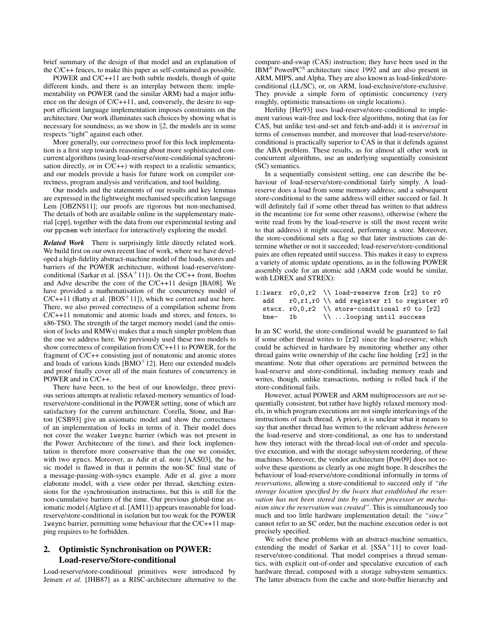brief summary of the design of that model and an explanation of the C/C++ fences, to make this paper as self-contained as possible.

POWER and C/C++11 are both subtle models, though of quite different kinds, and there is an interplay between them: implementability on POWER (and the similar ARM) had a major influence on the design of C/C++11, and, conversely, the desire to support efficient language implementation imposes constraints on the architecture. Our work illuminates such choices by showing what is necessary for soundness; as we show in §2, the models are in some respects "tight" against each other.

More generally, our correctness proof for this lock implementation is a first step towards reasoning about more sophisticated concurrent algorithms (using load-reserve/store-conditional synchronisation directly, or in C/C++) with respect to a realistic semantics; and our models provide a basis for future work on compiler correctness, program analysis and verification, and tool building.

Our models and the statements of our results and key lemmas are expressed in the lightweight mechanised specification language Lem [OBZNS11]; our proofs are rigorous but non-mechanised. The details of both are available online in the supplementary material [cpp], together with the data from our experimental testing and our ppcmem web interface for interactively exploring the model.

*Related Work* There is surprisingly little directly related work. We build first on our own recent line of work, where we have developed a high-fidelity abstract-machine model of the loads, stores and barriers of the POWER architecture, without load-reserve/storeconditional (Sarkar et al.  $[SSA<sup>+</sup>11]$ ). On the C/C++ front, Boehm and Adve describe the core of the C/C++11 design [BA08]. We have provided a mathematisation of the concurrency model of  $C/C+11$  (Batty et al. [BOS<sup>+</sup>11]), which we correct and use here. There, we also proved correctness of a compilation scheme from C/C++11 nonatomic and atomic loads and stores, and fences, to x86-TSO. The strength of the target memory model (and the omission of locks and RMWs) makes that a much simpler problem than the one we address here. We previously used these two models to show correctness of compilation from C/C++11 to POWER, for the fragment of C/C++ consisting just of nonatomic and atomic stores and loads of various kinds  $[\overline{BMO}^+12]$ . Here our extended models and proof finally cover all of the main features of concurrency in POWER and in C/C++.

There have been, to the best of our knowledge, three previous serious attempts at realistic relaxed-memory semantics of loadreserve/store-conditional in the POWER setting, none of which are satisfactory for the current architecture. Corella, Stone, and Barton [CSB93] give an axiomatic model and show the correctness of an implementation of locks in terms of it. Their model does not cover the weaker lwsync barrier (which was not present in the Power Architecture of the time), and their lock implementation is therefore more conservative than the one we consider, with two syncs. Moreover, as Adir et al. note [AAS03], the basic model is flawed in that it permits the non-SC final state of a message-passing-with-syncs example. Adir et al. give a more elaborate model, with a view order per thread, sketching extensions for the synchronisation instructions, but this is still for the non-cumulative barriers of the time. Our previous global-time axiomatic model (Alglave et al. [AM11]) appears reasonable for loadreserve/store-conditional in isolation but too weak for the POWER lwsync barrier, permitting some behaviour that the C/C++11 mapping requires to be forbidden.

# **2. Optimistic Synchronisation on POWER: Load-reserve/Store-conditional**

Load-reserve/store-conditional primitives were introduced by Jensen *et al.* [JHB87] as a RISC-architecture alternative to the compare-and-swap (CAS) instruction; they have been used in the IBM<sup>®</sup> PowerPC<sup>®</sup> architecture since 1992 and are also present in ARM, MIPS, and Alpha. They are also known as load-linked/storeconditional (LL/SC), or, on ARM, load-exclusive/store-exclusive. They provide a simple form of optimistic concurrency (very roughly, optimistic transactions on single locations).

Herlihy [Her93] uses load-reserve/store-conditional to implement various wait-free and lock-free algorithms, noting that (as for CAS, but unlike test-and-set and fetch-and-add) it is *universal* in terms of consensus number, and moreover that load-reserve/storeconditional is practically superior to CAS in that it defends against the ABA problem. These results, as for almost all other work in concurrent algorithms, use an underlying sequentially consistent (SC) semantics.

In a sequentially consistent setting, one can describe the behaviour of load-reserve/store-conditional fairly simply. A loadreserve does a load from some memory address; and a subsequent store-conditional to the same address will either succeed or fail. It will definitely fail if some other thread has written to that address in the meantime (or for some other reasons), otherwise (where the write read from by the load-reserve is still the most recent write to that address) it might succeed, performing a store. Moreover, the store-conditional sets a flag so that later instructions can determine whether or not it succeeded; load-reserve/store-conditional pairs are often repeated until success. This makes it easy to express a variety of atomic update operations, as in the following POWER assembly code for an atomic add (ARM code would be similar, with LDREX and STREX):

|         | 1:1warx $r0,0,r2 \ \backslash\$ load-reserve from [r2] to r0               |
|---------|----------------------------------------------------------------------------|
|         | add $r0, r1, r0 \setminus \text{add register } r1 \text{ to register } r0$ |
|         | stwcx. $r0,0,r2$ \\ store-conditional r0 to [r2]                           |
| bne- 1b | \\ looping until success                                                   |

In an SC world, the store-conditional would be guaranteed to fail if some other thread writes to [r2] since the load-reserve; which could be achieved in hardware by monitoring whether any other thread gains write ownership of the cache line holding [r2] in the meantime. Note that other operations are permitted between the load-reserve and store-conditional, including memory reads and writes, though, unlike transactions, nothing is rolled back if the store-conditional fails.

However, actual POWER and ARM multiprocessors are *not* sequentially consistent, but rather have highly relaxed memory models, in which program executions are not simple interleavings of the instructions of each thread. A priori, it is unclear what it means to say that another thread has written to the relevant address *between* the load-reserve and store-conditional, as one has to understand how they interact with the thread-local out-of-order and speculative execution, and with the storage subsystem reordering, of these machines. Moreover, the vendor architecture [Pow09] does not resolve these questions as clearly as one might hope. It describes the behaviour of load-reserve/store-conditional informally in terms of *reservations*, allowing a store-conditional to succeed only if *"the storage location specified by the lwarx that established the reservation has not been stored into by another processor or mechanism since the reservation was created"*. This is simultaneously too much and too little hardware implementation detail: the *"since"* cannot refer to an SC order, but the machine execution order is not precisely specified.

We solve these problems with an abstract-machine semantics, extending the model of Sarkar et al.  $[SSA<sup>+</sup>11]$  to cover loadreserve/store-conditional. That model comprises a thread semantics, with explicit out-of-order and speculative execution of each hardware thread, composed with a storage subsystem semantics. The latter abstracts from the cache and store-buffer hierarchy and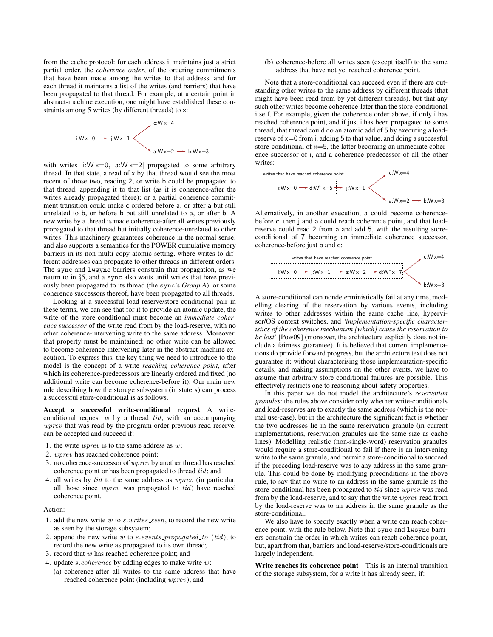from the cache protocol: for each address it maintains just a strict partial order, the *coherence order*, of the ordering commitments that have been made among the writes to that address, and for each thread it maintains a list of the writes (and barriers) that have been propagated to that thread. For example, at a certain point in abstract-machine execution, one might have established these constraints among 5 writes (by different threads) to x:

$$
c:W x=4
$$
  
i:W x=0  $\rightarrow$  j:W x=1  
a:W x=2  $\rightarrow$  b:W x=3

with writes  $[i:W \times = 0, a:W \times = 2]$  propagated to some arbitrary thread. In that state, a read of  $x$  by that thread would see the most recent of those two, reading 2; or write b could be propagated to that thread, appending it to that list (as it is coherence-after the writes already propagated there); or a partial coherence commitment transition could make c ordered before a, or after a but still unrelated to b, or before b but still unrelated to a, or after b. A new write by a thread is made coherence-after all writes previously propagated to that thread but initially coherence-unrelated to other writes. This machinery guarantees coherence in the normal sense, and also supports a semantics for the POWER cumulative memory barriers in its non-multi-copy-atomic setting, where writes to different addresses can propagate to other threads in different orders. The sync and lwsync barriers constrain that propagation, as we return to in §5, and a sync also waits until writes that have previously been propagated to its thread (the sync's *Group A*), or some coherence successors thereof, have been propagated to all threads.

Looking at a successful load-reserve/store-conditional pair in these terms, we can see that for it to provide an atomic update, the write of the store-conditional must become an *immediate coherence successor* of the write read from by the load-reserve, with no other coherence-intervening write to the same address. Moreover, that property must be maintained: no other write can be allowed to become coherence-intervening later in the abstract-machine execution. To express this, the key thing we need to introduce to the model is the concept of a write *reaching coherence point*, after which its coherence-predecessors are linearly ordered and fixed (no additional write can become coherence-before it). Our main new rule describing how the storage subsystem (in state  $s$ ) can process a successful store-conditional is as follows.

**Accept a successful write-conditional request** A writeconditional request  $w$  by a thread  $tid$ , with an accompanying wprev that was read by the program-order-previous read-reserve, can be accepted and succeed if:

- 1. the write  $wprev$  is to the same address as  $w$ ;
- 2. wprev has reached coherence point;
- 3. no coherence-successor of wprev by another thread has reached coherence point or has been propagated to thread tid; and
- 4. all writes by  $tid$  to the same address as  $wprev$  (in particular, all those since wprev was propagated to tid) have reached coherence point.

## Action:

- 1. add the new write  $w$  to  $s.writes\_seen$ , to record the new write as seen by the storage subsystem;
- 2. append the new write w to s. events propagated to  $(id)$ , to record the new write as propagated to its own thread;
- 3. record that  $w$  has reached coherence point; and
- 4. update  $s.\ncoherence$  by adding edges to make write  $w$ :
- (a) coherence-after all writes to the same address that have reached coherence point (including wprev); and

#### (b) coherence-before all writes seen (except itself) to the same address that have not yet reached coherence point.

Note that a store-conditional can succeed even if there are outstanding other writes to the same address by different threads (that might have been read from by yet different threads), but that any such other writes become coherence-later than the store-conditional itself. For example, given the coherence order above, if only i has reached coherence point, and if just i has been propagated to some thread, that thread could do an atomic add of 5 by executing a loadreserve of x=0 from i, adding 5 to that value, and doing a successful store-conditional of  $x=5$ , the latter becoming an immediate coherence successor of i, and a coherence-predecessor of all the other writes:

$$
\begin{array}{c}\n\text{writes that have reached coherence point} \\
\hline\n\vdots W \times = 0 \longrightarrow d: W^* \times = 5 \longrightarrow j: W \times = 1\n\end{array}
$$
\n
$$
\begin{array}{c}\n\text{c:} W \times = 4 \\
\hline\n\vdots W \times = 2 \longrightarrow b: W \times = 3\n\end{array}
$$

Alternatively, in another execution, a could become coherencebefore c, then j and a could reach coherence point, and that loadreserve could read 2 from a and add 5, with the resulting storeconditional of 7 becoming an immediate coherence successor, coherence-before just b and c:

$$
\begin{array}{c}\n\text{writes that have reached coherence point} \\
\hline\n\vdots Wx=0 \longrightarrow j: Wx=1 \longrightarrow a: Wx=2 \longrightarrow d: W^*x=7\n\end{array}
$$
\n
$$
b: Wx=3
$$

A store-conditional can nondeterministically fail at any time, modelling clearing of the reservation by various events, including writes to other addresses within the same cache line, hypervisor/OS context switches, and *'implementation-specific characteristics of the coherence mechanism [which] cause the reservation to be lost'* [Pow09] (moreover, the architecture explicitly does not include a fairness guarantee). It is believed that current implementations do provide forward progress, but the architecture text does not guarantee it; without characterising those implementation-specific details, and making assumptions on the other events, we have to assume that arbitrary store-conditional failures are possible. This effectively restricts one to reasoning about safety properties.

In this paper we do not model the architecture's *reservation granules*: the rules above consider only whether write-conditionals and load-reserves are to exactly the same address (which is the normal use-case), but in the architecture the significant fact is whether the two addresses lie in the same reservation granule (in current implementations, reservation granules are the same size as cache lines). Modelling realistic (non-single-word) reservation granules would require a store-conditional to fail if there is an intervening write to the same granule, and permit a store-conditional to succeed if the preceding load-reserve was to any address in the same granule. This could be done by modifying preconditions in the above rule, to say that no write to an address in the same granule as the store-conditional has been propagated to tid since wprev was read from by the load-reserve, and to say that the write wprev read from by the load-reserve was to an address in the same granule as the store-conditional.

We also have to specify exactly when a write can reach coherence point, with the rule below. Note that sync and lwsync barriers constrain the order in which writes can reach coherence point, but, apart from that, barriers and load-reserve/store-conditionals are largely independent.

**Write reaches its coherence point** This is an internal transition of the storage subsystem, for a write it has already seen, if: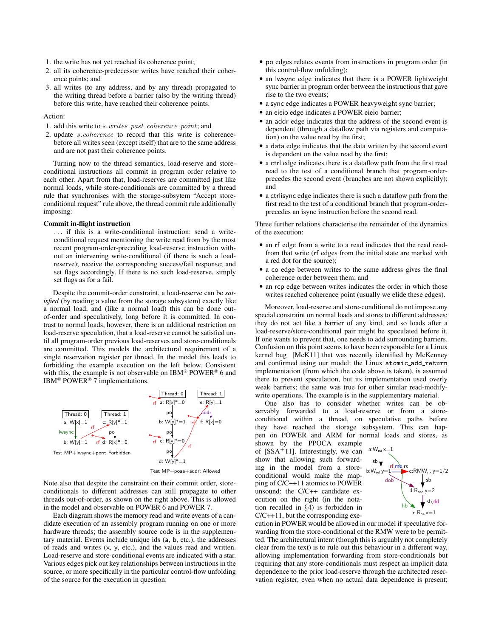- 1. the write has not yet reached its coherence point;
- 2. all its coherence-predecessor writes have reached their coherence points; and
- 3. all writes (to any address, and by any thread) propagated to the writing thread before a barrier (also by the writing thread) before this write, have reached their coherence points.

#### Action:

- 1. add this write to s.writes\_past\_coherence\_point; and
- 2. update s.coherence to record that this write is coherencebefore all writes seen (except itself) that are to the same address and are not past their coherence points.

Turning now to the thread semantics, load-reserve and storeconditional instructions all commit in program order relative to each other. Apart from that, load-reserves are committed just like normal loads, while store-conditionals are committed by a thread rule that synchronises with the storage-subsytem "Accept storeconditional request" rule above, the thread commit rule additionally imposing:

#### **Commit in-flight instruction**

. . . if this is a write-conditional instruction: send a writeconditional request mentioning the write read from by the most recent program-order-preceding load-reserve instruction without an intervening write-conditional (if there is such a loadreserve); receive the corresponding success/fail response; and set flags accordingly. If there is no such load-reserve, simply set flags as for a fail.

Despite the commit-order constraint, a load-reserve can be *satisfied* (by reading a value from the storage subsystem) exactly like a normal load, and (like a normal load) this can be done outof-order and speculatively, long before it is committed. In contrast to normal loads, however, there is an additional restriction on load-reserve speculation, that a load-reserve cannot be satisfied until all program-order previous load-reserves and store-conditionals are committed. This models the architectural requirement of a single reservation register per thread. In the model this leads to forbidding the example execution on the left below. Consistent with this, the example is not observable on  $IBM^{\circledR}$  POWER<sup>®</sup> 6 and IBM<sup>®</sup> POWER<sup>®</sup> 7 implementations.



Note also that despite the constraint on their commit order, storeconditionals to different addresses can still propagate to other threads out-of-order, as shown on the right above. This is allowed in the model and observable on POWER 6 and POWER 7.

Each diagram shows the memory read and write events of a candidate execution of an assembly program running on one or more hardware threads; the assembly source code is in the supplementary material. Events include unique ids (a, b, etc.), the addresses of reads and writes (x, y, etc.), and the values read and written. Load-reserve and store-conditional events are indicated with a star. Various edges pick out key relationships between instructions in the source, or more specifically in the particular control-flow unfolding of the source for the execution in question:

- po edges relates events from instructions in program order (in this control-flow unfolding);
- an lwsync edge indicates that there is a POWER lightweight sync barrier in program order between the instructions that gave rise to the two events;
- a sync edge indicates a POWER heavyweight sync barrier;
- an eieio edge indicates a POWER eieio barrier;
- an addr edge indicates that the address of the second event is dependent (through a dataflow path via registers and computation) on the value read by the first;
- a data edge indicates that the data written by the second event is dependent on the value read by the first;
- a ctrl edge indicates there is a dataflow path from the first read read to the test of a conditional branch that program-orderprecedes the second event (branches are not shown explicitly); and
- a ctrlisync edge indicates there is such a dataflow path from the first read to the test of a conditional branch that program-orderprecedes an isync instruction before the second read.

Three further relations characterise the remainder of the dynamics of the execution:

- an rf edge from a write to a read indicates that the read readfrom that write (rf edges from the initial state are marked with a red dot for the source);
- a co edge between writes to the same address gives the final coherence order between them; and
- an rcp edge between writes indicates the order in which those writes reached coherence point (usually we elide these edges).

Moreover, load-reserve and store-conditional do not impose any special constraint on normal loads and stores to different addresses: they do not act like a barrier of any kind, and so loads after a load-reserve/store-conditional pair might be speculated before it. If one wants to prevent that, one needs to add surrounding barriers. Confusion on this point seems to have been responsible for a Linux kernel bug [McK11] that was recently identified by McKenney and confirmed using our model: the Linux atomic\_add\_return implementation (from which the code above is taken), is assumed there to prevent speculation, but its implementation used overly weak barriers; the same was true for other similar read-modifywrite operations. The example is in the supplementary material.

One also has to consider whether writes can be observably forwarded to a load-reserve or from a storeconditional within a thread, on speculative paths before they have reached the storage subsystem. This can happen on POWER and ARM for normal loads and stores, as

shown by the PPOCA example of  $[SSA<sup>+</sup>11]$ . Interestingly, we can show that allowing such forwarding in the model from a storeconditional would make the mapping of C/C++11 atomics to POWER unsound: the C/C++ candidate execution on the right (in the notation recalled in §4) is forbidden in C/C++11, but the corresponding exe-



cution in POWER would be allowed in our model if speculative forwarding from the store-conditional of the RMW were to be permitted. The architectural intent (though this is arguably not completely clear from the text) is to rule out this behaviour in a different way, allowing implementation forwarding from store-conditionals but requiring that any store-conditionals must respect an implicit data dependence to the prior load-reserve through the architected reservation register, even when no actual data dependence is present;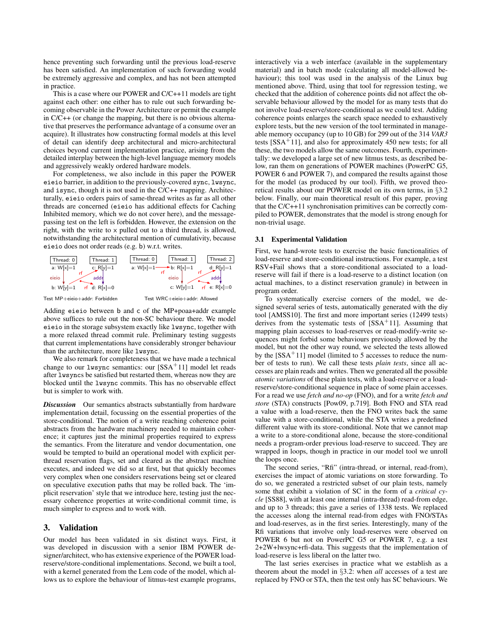hence preventing such forwarding until the previous load-reserve has been satisfied. An implementation of such forwarding would be extremely aggressive and complex, and has not been attempted in practice.

This is a case where our POWER and C/C++11 models are tight against each other: one either has to rule out such forwarding becoming observable in the Power Architecture or permit the example in C/C++ (or change the mapping, but there is no obvious alternative that preserves the performance advantage of a consume over an acquire). It illustrates how constructing formal models at this level of detail can identify deep architectural and micro-architectural choices beyond current implementation practice, arising from the detailed interplay between the high-level language memory models and aggressively weakly ordered hardware models.

For completeness, we also include in this paper the POWER eieio barrier, in addition to the previously-covered sync, lwsync, and isync, though it is not used in the C/C++ mapping. Architecturally, eieio orders pairs of same-thread writes as far as all other threads are concerned (eieio has additional effects for Caching Inhibited memory, which we do not cover here), and the messagepassing test on the left is forbidden. However, the extension on the right, with the write to x pulled out to a third thread, is allowed, notwithstanding the architectural mention of cumulativity, because eieio does not order reads (e.g. b) w.r.t. writes.



Adding eieio between b and c of the MP+poaa+addr example above suffices to rule out the non-SC behaviour there. We model eieio in the storage subsystem exactly like lwsync, together with a more relaxed thread commit rule. Preliminary testing suggests that current implementations have considerably stronger behaviour than the architecture, more like lwsync.

We also remark for completeness that we have made a technical change to our lwsync semantics: our  $[SSA<sup>+</sup>11]$  model let reads after lwsyncs be satisfied but restarted them, whereas now they are blocked until the lwsync commits. This has no observable effect but is simpler to work with.

*Discussion* Our semantics abstracts substantially from hardware implementation detail, focussing on the essential properties of the store-conditional. The notion of a write reaching coherence point abstracts from the hardware machinery needed to maintain coherence; it captures just the minimal properties required to express the semantics. From the literature and vendor documentation, one would be tempted to build an operational model with explicit perthread reservation flags, set and cleared as the abstract machine executes, and indeed we did so at first, but that quickly becomes very complex when one considers reservations being set or cleared on speculative execution paths that may be rolled back. The 'implicit reservation' style that we introduce here, testing just the necessary coherence properties at write-conditional commit time, is much simpler to express and to work with.

## **3. Validation**

Our model has been validated in six distinct ways. First, it was developed in discussion with a senior IBM POWER designer/architect, who has extensive experience of the POWER loadreserve/store-conditional implementations. Second, we built a tool, with a kernel generated from the Lem code of the model, which allows us to explore the behaviour of litmus-test example programs, interactively via a web interface (available in the supplementary material) and in batch mode (calculating all model-allowed behaviour); this tool was used in the analysis of the Linux bug mentioned above. Third, using that tool for regression testing, we checked that the addition of coherence points did not affect the observable behaviour allowed by the model for as many tests that do not involve load-reserve/store-conditional as we could test. Adding coherence points enlarges the search space needed to exhaustively explore tests, but the new version of the tool terminated in manageable memory occupancy (up to 10 GB) for 299 out of the 314 *VAR3* tests  $[SSA<sup>+</sup>11]$ , and also for approximately 450 new tests; for all these, the two models allow the same outcomes. Fourth, experimentally: we developed a large set of new litmus tests, as described below, ran them on generations of POWER machines (PowerPC G5, POWER 6 and POWER 7), and compared the results against those for the model (as produced by our tool). Fifth, we proved theoretical results about our POWER model on its own terms, in §3.2 below. Finally, our main theoretical result of this paper, proving that the C/C++11 synchronisation primitives can be correctly compiled to POWER, demonstrates that the model is strong enough for non-trivial usage.

#### **3.1 Experimental Validation**

First, we hand-wrote tests to exercise the basic functionalities of load-reserve and store-conditional instructions. For example, a test RSV+Fail shows that a store-conditional associated to a loadreserve will fail if there is a load-reserve to a distinct location (on actual machines, to a distinct reservation granule) in between in program order.

To systematically exercise corners of the model, we designed several series of tests, automatically generated with the diy tool [AMSS10]. The first and more important series (12499 tests) derives from the systematic tests of  $[SSA<sup>+</sup>11]$ . Assuming that mapping plain accesses to load-reserves or read-modify-write sequences might forbid some behaviours previously allowed by the model, but not the other way round, we selected the tests allowed by the  $[SSA<sup>+</sup>11]$  model (limited to 5 accesses to reduce the number of tests to run). We call these tests *plain tests*, since all accesses are plain reads and writes. Then we generated all the possible *atomic variations* of these plain tests, with a load-reserve or a loadreserve/store-conditional sequence in place of some plain accesses. For a read we use *fetch and no-op* (FNO), and for a write *fetch and store* (STA) constructs [Pow09, p.719]. Both FNO and STA read a value with a load-reserve, then the FNO writes back the same value with a store-conditional, while the STA writes a predefined different value with its store-conditional. Note that we cannot map a write to a store-conditional alone, because the store-conditional needs a program-order previous load-reserve to succeed. They are wrapped in loops, though in practice in our model tool we unroll the loops once.

The second series, "Rfi" (intra-thread, or internal, read-from), exercises the impact of atomic variations on store forwarding. To do so, we generated a restricted subset of our plain tests, namely some that exhibit a violation of SC in the form of a *critical cycle* [SS88], with at least one internal (intra-thread) read-from edge, and up to 3 threads; this gave a series of 1338 tests. We replaced the accesses along the internal read-from edges with FNO/STAs and load-reserves, as in the first series. Interestingly, many of the Rfi variations that involve only load-reserves were observed on POWER 6 but not on PowerPC G5 or POWER 7, e.g. a test 2+2W+lwsync+rfi-data. This suggests that the implementation of load-reserve is less liberal on the latter two.

The last series exercises in practice what we establish as a theorem about the model in §3.2: when *all* accesses of a test are replaced by FNO or STA, then the test only has SC behaviours. We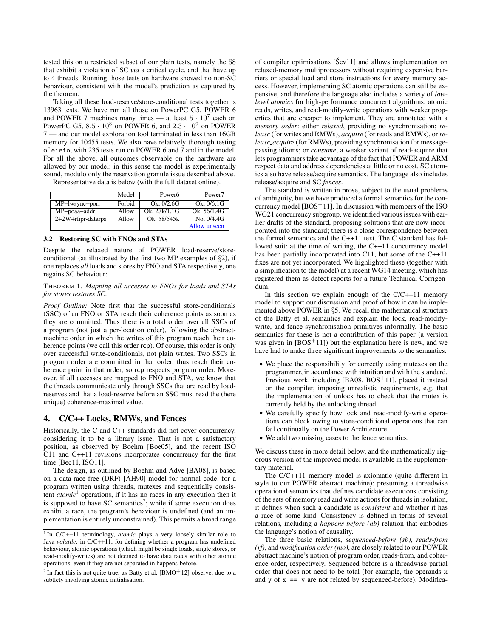tested this on a restricted subset of our plain tests, namely the 68 that exhibit a violation of SC *via* a critical cycle, and that have up to 4 threads. Running those tests on hardware showed no non-SC behaviour, consistent with the model's prediction as captured by the theorem.

Taking all these load-reserve/store-conditional tests together is 13963 tests. We have run all those on PowerPC G5, POWER 6 and POWER 7 machines many times — at least  $5 \cdot 10^7$  each on PowerPC G5,  $8.5 \cdot 10^8$  on POWER 6, and  $2.3 \cdot 10^9$  on POWER 7 — and our model exploration tool terminated in less than 16GB memory for 10455 tests. We also have relatively thorough testing of eieio, with 235 tests run on POWER 6 and 7 and in the model. For all the above, all outcomes observable on the hardware are allowed by our model; in this sense the model is experimentally sound, modulo only the reservation granule issue described above.

Representative data is below (with the full dataset online).

|                      | Model  | Power <sub>6</sub> | Power <sub>7</sub>  |
|----------------------|--------|--------------------|---------------------|
| MP+lwsync+porr       | Forbid | Ok. 0/2.6G         | Ok. 0/6.1G          |
| MP+poaa+addr         | Allow  | Ok. 27k/1.1G       | Ok. 56/1.4G         |
| $2+2W+rfipr-datarps$ | Allow  | Ok. 58/545k        | No. 0/4.4G          |
|                      |        |                    | <b>Allow</b> unseen |

## **3.2 Restoring SC with FNOs and STAs**

Despite the relaxed nature of POWER load-reserve/storeconditional (as illustrated by the first two MP examples of  $\S$ 2), if one replaces *all* loads and stores by FNO and STA respectively, one regains SC behaviour:

## THEOREM 1. *Mapping all accesses to FNOs for loads and STAs for stores restores SC.*

*Proof Outline:* Note first that the successful store-conditionals (SSC) of an FNO or STA reach their coherence points as soon as they are committed. Thus there is a total order over all SSCs of a program (not just a per-location order), following the abstractmachine order in which the writes of this program reach their coherence points (we call this order rcp). Of course, this order is only over successful write-conditionals, not plain writes. Two SSCs in program order are committed in that order, thus reach their coherence point in that order, so rcp respects program order. Moreover, if all accesses are mapped to FNO and STA, we know that the threads communicate only through SSCs that are read by loadreserves and that a load-reserve before an SSC must read the (here unique) coherence-maximal value.

# **4. C/C++ Locks, RMWs, and Fences**

Historically, the C and C++ standards did not cover concurrency, considering it to be a library issue. That is not a satisfactory position, as observed by Boehm [Boe05], and the recent ISO C11 and C++11 revisions incorporates concurrency for the first time [Bec11, ISO11].

The design, as outlined by Boehm and Adve [BA08], is based on a data-race-free (DRF) [AH90] model for normal code: for a program written using threads, mutexes and sequentially consistent *atomic*<sup>1</sup> operations, if it has no races in any execution then it is supposed to have SC semantics<sup>2</sup>; while if some execution does exhibit a race, the program's behaviour is undefined (and an implementation is entirely unconstrained). This permits a broad range of compiler optimisations  $[\S$ ev11] and allows implementation on relaxed-memory multiprocessors without requiring expensive barriers or special load and store instructions for every memory access. However, implementing SC atomic operations can still be expensive, and therefore the language also includes a variety of *lowlevel atomics* for high-performance concurrent algorithms: atomic reads, writes, and read-modify-write operations with weaker properties that are cheaper to implement. They are annotated with a *memory order*: either *relaxed*, providing no synchronisation; *release* (for writes and RMWs), *acquire* (for reads and RMWs), or *release acquire* (for RMWs), providing synchronisation for messagepassing idioms; or *consume*, a weaker variant of read-acquire that lets programmers take advantage of the fact that POWER and ARM respect data and address dependencies at little or no cost. SC atomics also have release/acquire semantics. The language also includes release/acquire and SC *fences*.

The standard is written in prose, subject to the usual problems of ambiguity, but we have produced a formal semantics for the concurrency model  $[BOS^+11]$ . In discussion with members of the ISO WG21 concurrency subgroup, we identified various issues with earlier drafts of the standard, proposing solutions that are now incorporated into the standard; there is a close correspondence between the formal semantics and the C++11 text. The  $\tilde{C}$  standard has followed suit: at the time of writing, the C++11 concurrency model has been partially incorporated into C11, but some of the C++11 fixes are not yet incorporated. We highlighted these (together with a simplification to the model) at a recent WG14 meeting, which has registered them as defect reports for a future Technical Corrigendum.

In this section we explain enough of the  $C/C+11$  memory model to support our discussion and proof of how it can be implemented above POWER in §5. We recall the mathematical structure of the Batty et al. semantics and explain the lock, read-modifywrite, and fence synchronisation primitives informally. The basic semantics for these is not a contribution of this paper (a version was given in  $[BOS^+11]$ ) but the explanation here is new, and we have had to make three significant improvements to the semantics:

- We place the responsibility for correctly using mutexes on the programmer, in accordance with intuition and with the standard. Previous work, including  $[BA08, BOS<sup>+</sup>11]$ , placed it instead on the compiler, imposing unrealistic requirements, e.g. that the implementation of unlock has to check that the mutex is currently held by the unlocking thread.
- We carefully specify how lock and read-modify-write operations can block owing to store-conditional operations that can fail continually on the Power Architecture.
- We add two missing cases to the fence semantics.

We discuss these in more detail below, and the mathematically rigorous version of the improved model is available in the supplementary material.

The C/C++11 memory model is axiomatic (quite different in style to our POWER abstract machine): presuming a threadwise operational semantics that defines candidate executions consisting of the sets of memory read and write actions for threads in isolation, it defines when such a candidate is *consistent* and whether it has a race of some kind. Consistency is defined in terms of several relations, including a *happens-before (hb)* relation that embodies the language's notion of causality.

The three basic relations, *sequenced-before (sb)*, *reads-from (rf)*, and *modification order (mo)*, are closely related to our POWER abstract machine's notion of program order, reads-from, and coherence order, respectively. Sequenced-before is a threadwise partial order that does not need to be total (for example, the operands x and y of  $x = y$  are not related by sequenced-before). Modifica-

<sup>&</sup>lt;sup>1</sup> In C/C++11 terminology, *atomic* plays a very loosely similar role to Java *volatile*: in C/C++11, for defining whether a program has undefined behaviour, atomic operations (which might be single loads, single stores, or read-modify-writes) are not deemed to have data races with other atomic operations, even if they are not separated in happens-before.

<sup>&</sup>lt;sup>2</sup> In fact this is not quite true, as Batty et al. [BMO<sup>+</sup>12] observe, due to a subtlety involving atomic initialisation.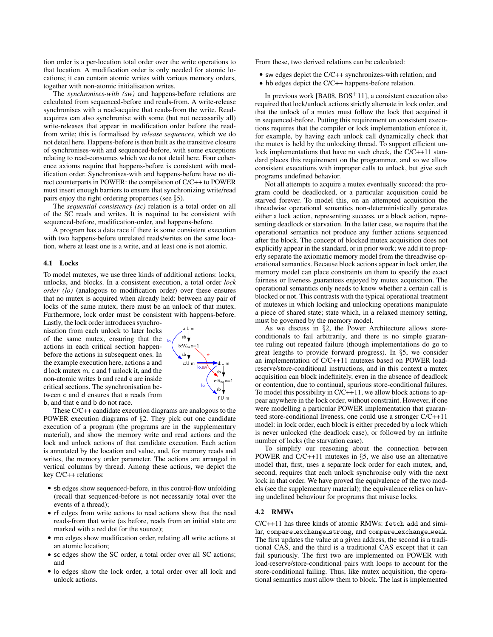tion order is a per-location total order over the write operations to that location. A modification order is only needed for atomic locations; it can contain atomic writes with various memory orders, together with non-atomic initialisation writes.

The *synchronises-with (sw)* and happens-before relations are calculated from sequenced-before and reads-from. A write-release synchronises with a read-acquire that reads-from the write. Readacquires can also synchronise with some (but not necessarily all) write-releases that appear in modification order before the readfrom write; this is formalised by *release sequences*, which we do not detail here. Happens-before is then built as the transitive closure of synchronises-with and sequenced-before, with some exceptions relating to read-consumes which we do not detail here. Four coherence axioms require that happens-before is consistent with modification order. Synchronises-with and happens-before have no direct counterparts in POWER: the compilation of C/C++ to POWER must insert enough barriers to ensure that synchronizing write/read pairs enjoy the right ordering properties (see §5).

The *sequential consistency (sc)* relation is a total order on all of the SC reads and writes. It is required to be consistent with sequenced-before, modification-order, and happens-before.

A program has a data race if there is some consistent execution with two happens-before unrelated reads/writes on the same location, where at least one is a write, and at least one is not atomic.

## **4.1 Locks**

To model mutexes, we use three kinds of additional actions: locks, unlocks, and blocks. In a consistent execution, a total order *lock order (lo)* (analogous to modification order) over these ensures that no mutex is acquired when already held: between any pair of locks of the same mutex, there must be an unlock of that mutex. Furthermore, lock order must be consistent with happens-before.

lo

Lastly, the lock order introduces synchronisation from each unlock to later locks of the same mutex, ensuring that the actions in each critical section happenbefore the actions in subsequent ones. In the example execution here, actions a and d lock mutex m, c and f unlock it, and the non-atomic writes b and read e are inside critical sections. The synchronisation between c and d ensures that e reads from b, and that e and b do not race.



These C/C++ candidate execution diagrams are analogous to the POWER execution diagrams of §2. They pick out one candidate execution of a program (the programs are in the supplementary material), and show the memory write and read actions and the lock and unlock actions of that candidate execution. Each action is annotated by the location and value, and, for memory reads and writes, the memory order parameter. The actions are arranged in vertical columns by thread. Among these actions, we depict the key C/C++ relations:

- sb edges show sequenced-before, in this control-flow unfolding (recall that sequenced-before is not necessarily total over the events of a thread);
- rf edges from write actions to read actions show that the read reads-from that write (as before, reads from an initial state are marked with a red dot for the source);
- mo edges show modification order, relating all write actions at an atomic location;
- sc edges show the SC order, a total order over all SC actions; and
- lo edges show the lock order, a total order over all lock and unlock actions.

From these, two derived relations can be calculated:

- sw edges depict the C/C++ synchronizes-with relation; and
- hb edges depict the C/C++ happens-before relation.

In previous work  $[BA08, BOS^+11]$ , a consistent execution also required that lock/unlock actions strictly alternate in lock order, and that the unlock of a mutex must follow the lock that acquired it in sequenced-before. Putting this requirement on consistent executions requires that the compiler or lock implementation enforce it, for example, by having each unlock call dynamically check that the mutex is held by the unlocking thread. To support efficient unlock implementations that have no such check, the C/C++11 standard places this requirement on the programmer, and so we allow consistent executions with improper calls to unlock, but give such programs undefined behavior.

Not all attempts to acquire a mutex eventually succeed: the program could be deadlocked, or a particular acquisition could be starved forever. To model this, on an attempted acquisition the threadwise operational semantics non-deterministically generates either a lock action, representing success, or a block action, representing deadlock or starvation. In the latter case, we require that the operational semantics not produce any further actions sequenced after the block. The concept of blocked mutex acquisition does not explicitly appear in the standard, or in prior work; we add it to properly separate the axiomatic memory model from the threadwise operational semantics. Because block actions appear in lock order, the memory model can place constraints on them to specify the exact fairness or liveness guarantees enjoyed by mutex acquisition. The operational semantics only needs to know whether a certain call is blocked or not. This contrasts with the typical operational treatment of mutexes in which locking and unlocking operations manipulate a piece of shared state; state which, in a relaxed memory setting, must be governed by the memory model.

As we discuss in §2, the Power Architecture allows storeconditionals to fail arbitrarily, and there is no simple guarantee ruling out repeated failure (though implementations do go to great lengths to provide forward progress). In §5, we consider an implementation of C/C++11 mutexes based on POWER loadreserve/store-conditional instructions, and in this context a mutex acquisition can block indefinitely, even in the absence of deadlock or contention, due to continual, spurious store-conditional failures. To model this possibility in C/C++11, we allow block actions to appear anywhere in the lock order, without constraint. However, if one were modelling a particular POWER implementation that guaranteed store-conditional liveness, one could use a stronger C/C++11 model: in lock order, each block is either preceded by a lock which is never unlocked (the deadlock case), or followed by an infinite number of locks (the starvation case).

To simplify our reasoning about the connection between POWER and  $C/C+11$  mutexes in §5, we also use an alternative model that, first, uses a separate lock order for each mutex, and, second, requires that each unlock synchronise only with the next lock in that order. We have proved the equivalence of the two models (see the supplementary material); the equivalence relies on having undefined behaviour for programs that misuse locks.

## **4.2 RMWs**

C/C++11 has three kinds of atomic RMWs: fetch add and similar, compare exchange strong, and compare exchange weak. The first updates the value at a given address, the second is a traditional CAS, and the third is a traditional CAS except that it can fail spuriously. The first two are implemented on POWER with load-reserve/store-conditional pairs with loops to account for the store-conditional failing. Thus, like mutex acquisition, the operational semantics must allow them to block. The last is implemented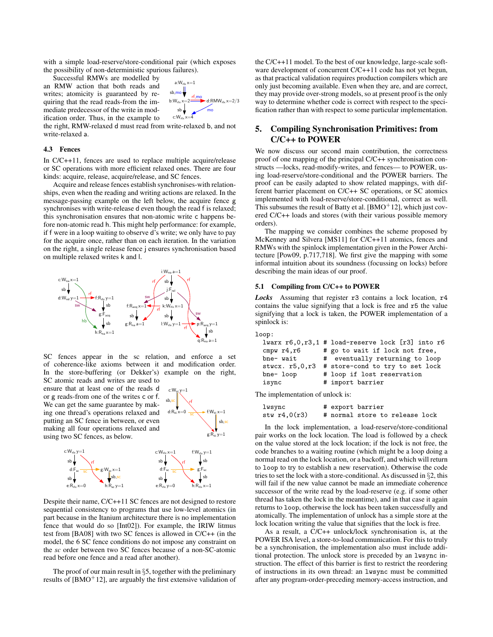with a simple load-reserve/store-conditional pair (which exposes the possibility of non-deterministic spurious failures).

Successful RMWs are modelled by an RMW action that both reads and writes; atomicity is guaranteed by requiring that the read reads-from the immediate predecessor of the write in modification order. Thus, in the example to



the right, RMW-relaxed d must read from write-relaxed b, and not write-relaxed a.

## **4.3 Fences**

In C/C++11, fences are used to replace multiple acquire/release or SC operations with more efficient relaxed ones. There are four kinds: acquire, release, acquire/release, and SC fences.

Acquire and release fences establish synchronises-with relationships, even when the reading and writing actions are relaxed. In the message-passing example on the left below, the acquire fence g synchronises with write-release d even though the read f is relaxed; this synchronisation ensures that non-atomic write c happens before non-atomic read h. This might help performance: for example, if f were in a loop waiting to observe d's write; we only have to pay for the acquire once, rather than on each iteration. In the variation on the right, a single release fence j ensures synchronisation based on multiple relaxed writes k and l.



SC fences appear in the sc relation, and enforce a set of coherence-like axioms between it and modification order. In the store-buffering (or Dekker's) example on the right, SC atomic reads and writes are used to

ensure that at least one of the reads d or g reads-from one of the writes c or f. We can get the same guarantee by making one thread's operations relaxed and putting an SC fence in between, or even making all four operations relaxed and using two SC fences, as below.





Despite their name, C/C++11 SC fences are not designed to restore sequential consistency to programs that use low-level atomics (in part because in the Itanium architecture there is no implementation fence that would do so [Int02]). For example, the IRIW litmus test from [BA08] with two SC fences is allowed in C/C++ (in the model, the 6 SC fence conditions do not impose any constraint on the *sc* order between two SC fences because of a non-SC-atomic read before one fence and a read after another).

The proof of our main result in §5, together with the preliminary results of  $[BMO^+12]$ , are arguably the first extensive validation of the C/C++11 model. To the best of our knowledge, large-scale software development of concurrent  $C/C+11$  code has not yet begun, as that practical validation requires production compilers which are only just becoming available. Even when they are, and are correct, they may provide over-strong models, so at present proof is the only way to determine whether code is correct with respect to the specification rather than with respect to some particular implementation.

# **5. Compiling Synchronisation Primitives: from C/C++ to POWER**

We now discuss our second main contribution, the correctness proof of one mapping of the principal C/C++ synchronisation constructs —locks, read-modify-writes, and fences— to POWER, using load-reserve/store-conditional and the POWER barriers. The proof can be easily adapted to show related mappings, with different barrier placement on C/C++ SC operations, or SC atomics implemented with load-reserve/store-conditional, correct as well. This subsumes the result of Batty et al.  $[BMO^+12]$ , which just covered C/C++ loads and stores (with their various possible memory orders).

The mapping we consider combines the scheme proposed by McKenney and Silvera [MS11] for C/C++11 atomics, fences and RMWs with the spinlock implementation given in the Power Architecture [Pow09, p.717,718]. We first give the mapping with some informal intuition about its soundness (focussing on locks) before describing the main ideas of our proof.

## **5.1 Compiling from C/C++ to POWER**

*Locks* Assuming that register r3 contains a lock location, r4 contains the value signifying that a lock is free and r5 the value signifying that a lock is taken, the POWER implementation of a spinlock is:

```
loop:
 lwarx r6,0,r3,1 # load-reserve lock [r3] into r6
  cmpw r4, r6 # go to wait if lock not free,
  bne- wait \qquad # eventually returning to loop
  stwcx. r5,0,r3 # store-cond to try to set lock
  bne- loop # loop if lost reservation
  isync # import barrier
```
The implementation of unlock is:

| lwsync         |  | # export barrier |  |                                |  |
|----------------|--|------------------|--|--------------------------------|--|
| stw $r4.0(r3)$ |  |                  |  | # normal store to release lock |  |

In the lock implementation, a load-reserve/store-conditional pair works on the lock location. The load is followed by a check on the value stored at the lock location; if the lock is not free, the code branches to a waiting routine (which might be a loop doing a normal read on the lock location, or a backoff, and which will return to loop to try to establish a new reservation). Otherwise the code tries to set the lock with a store-conditional. As discussed in §2, this will fail if the new value cannot be made an immediate coherence successor of the write read by the load-reserve (e.g. if some other thread has taken the lock in the meantime), and in that case it again returns to loop, otherwise the lock has been taken successfully and atomically. The implementation of unlock has a simple store at the lock location writing the value that signifies that the lock is free.

As a result, a C/C++ unlock/lock synchronisation is, at the POWER ISA level, a store-to-load communication. For this to truly be a synchronisation, the implementation also must include additional protection. The unlock store is preceded by an lwsync instruction. The effect of this barrier is first to restrict the reordering of instructions in its own thread: an lwsync must be committed after any program-order-preceding memory-access instruction, and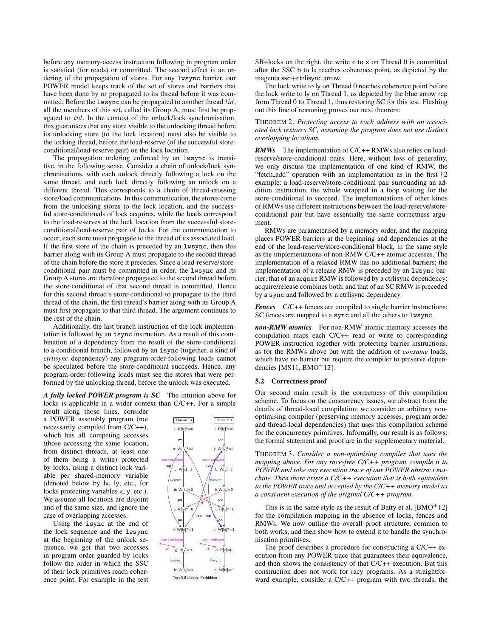before any memory-access instruction following in program order is satisfied (for reads) or committed. The second effect is an ordering of the propagation of stores. For any lwsync barrier, our POWER model keeps track of the set of stores and barriers that have been done by or propagated to its thread before it was committed. Before the lwsync can be propagated to another thread tid, all the members of this set, called its Group A, must first be propagated to tid. In the context of the unlock/lock synchronisation, this guarantees that any store visible to the unlocking thread before its unlocking store (to the lock location) must also be visible to the locking thread, before the load-reserve (of the successful storeconditional/load-reserve pair) on the lock location.

The propagation ordering enforced by an lwsync is transitive, in the following sense. Consider a chain of unlock/lock synchronisations, with each unlock directly following a lock on the same thread, and each lock directly following an unlock on a different thread. This corresponds to a chain of thread-crossing store/load communications. In this communication, the stores come from the unlocking stores to the lock location, and the successful store-conditionals of lock acquires, while the loads correspond to the load-reserves at the lock location from the successful storeconditional/load-reserve pair of locks. For the communication to occur, each store must propagate to the thread of its associated load. If the first store of the chain is preceded by an lwsync, then this barrier along with its Group A must propagate to the second thread of the chain before the store it precedes. Since a load-reserve/storeconditional pair must be committed in order, the lwsync and its Group A stores are therefore propagated to the second thread before the store-conditional of that second thread is committed. Hence for this second thread's store-conditional to propagate to the third thread of the chain, the first thread's barrier along with its Group A must first propagate to that third thread. The argument continues to the rest of the chain.

Additionally, the last branch instruction of the lock implementation is followed by an isync instruction. As a result of this combination of a dependency from the result of the store-conditional to a conditional branch, followed by an isync (together, a kind of *ctrlisync* dependency) any program-order-following loads cannot be speculated before the store-conditional succeeds. Hence, any program-order-following loads must see the stores that were performed by the unlocking thread, before the unlock was executed.

*A fully locked POWER program is SC* The intuition above for locks is applicable in a wider context than C/C++. For a simple

result along those lines, consider a POWER assembly program (not necessarily compiled from C/C++), which has all competing accesses (those accessing the same location, from distinct threads, at least one of them being a write) protected by locks, using a distinct lock variable per shared-memory variable (denoted below by lx, ly, etc., for locks protecting variables x, y, etc.). We assume all locations are disjoint and of the same size, and ignore the case of overlapping accesses.

Using the isync at the end of the lock sequence and the lwsync at the beginning of the unlock sequence, we get that two accesses in program order guarded by locks follow the order in which the SSC of their lock primitives reach coherence point. For example in the test



 $SB+locks$  on the right, the write c to x on Thread 0 is committed after the SSC b to lx reaches coherence point, as depicted by the magenta ssc+ctrlisync arrow.

The lock write to ly on Thread 0 reaches coherence point before the lock write to ly on Thread 1, as depicted by the blue arrow rcp from Thread 0 to Thread 1, thus restoring SC for this test. Fleshing out this line of reasoning proves our next theorem:

## THEOREM 2. *Protecting access to each address with an associated lock restores SC, assuming the program does not use distinct overlapping locations.*

*RMWs* The implementation of C/C++ RMWs also relies on loadreserve/store-conditional pairs. Here, without loss of generality, we only discuss the implementation of one kind of RMW, the "fetch add" operation with an implementation as in the first §2 example: a load-reserve/store-conditional pair surrounding an addition instruction, the whole wrapped in a loop waiting for the store-conditional to succeed. The implementations of other kinds of RMWs use different instructions between the load-reserve/storeconditional pair but have essentially the same correctness argument.

RMWs are parameterised by a memory order, and the mapping places POWER barriers at the beginning and dependencies at the end of the load-reserve/store-conditional block, in the same style as the implementations of non-RMW C/C++ atomic accesses. The implementation of a relaxed RMW has no additional barriers; the implementation of a release RMW is preceded by an lwsync barrier; that of an acquire RMW is followed by a ctrlisync dependency; acquire/release combines both; and that of an SC RMW is preceded by a sync and followed by a ctrlisync dependency.

*Fences* C/C++ fences are compiled to single barrier instructions: SC fences are mapped to a sync and all the others to lwsync.

*non-RMW atomics* For non-RMW atomic memory accesses the compilation maps each C/C++ read or write to corresponding POWER instruction together with protecting barrier instructions, as for the RMWs above but with the addition of *consume* loads, which have no barrier but require the compiler to preserve dependencies [ $MS11$ ,  $BMO<sup>+</sup>12$ ].

## **5.2 Correctness proof**

Our second main result is the correctness of this compilation scheme. To focus on the concurrency issues, we abstract from the details of thread-local compilation: we consider an arbitrary nonoptimising compiler (preserving memory accesses, program order and thread-local dependencies) that uses this compilation scheme for the concurrency primitives. Informally, our result is as follows; the formal statement and proof are in the supplementary material.

THEOREM 3. *Consider a non-optimising compiler that uses the mapping above. For any race-free C/C++ program, compile it to POWER and take any execution trace of our POWER abstract machine. Then there exists a C/C++ execution that is both equivalent to the POWER trace and accepted by the C/C++ memory model as a consistent execution of the original C/C++ program.*

This is in the same style as the result of Batty et al.  $[BMO^+12]$ for the compilation mapping in the absence of locks, fences and RMWs. We now outline the overall proof structure, common to both works, and then show how to extend it to handle the synchronisation primitives.

The proof describes a procedure for constructing a C/C++ execution from any POWER trace that guarantees their equivalence, and then shows the consistency of that C/C++ execution. But this construction does not work for racy programs. As a straightforward example, consider a C/C++ program with two threads, the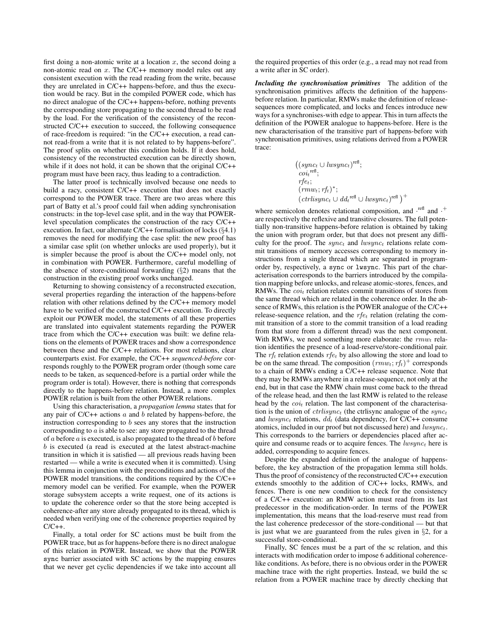first doing a non-atomic write at a location  $x$ , the second doing a non-atomic read on  $x$ . The C/C++ memory model rules out any consistent execution with the read reading from the write, because they are unrelated in C/C++ happens-before, and thus the execution would be racy. But in the compiled POWER code, which has no direct analogue of the C/C++ happens-before, nothing prevents the corresponding store propagating to the second thread to be read by the load. For the verification of the consistency of the reconstructed C/C++ execution to succeed, the following consequence of race-freedom is required: "in the C/C++ execution, a read cannot read-from a write that it is not related to by happens-before". The proof splits on whether this condition holds. If it does hold, consistency of the reconstructed execution can be directly shown, while if it does not hold, it can be shown that the original  $C/C++$ program must have been racy, thus leading to a contradiction.

The latter proof is technically involved because one needs to build a racy, consistent C/C++ execution that does not exactly correspond to the POWER trace. There are two areas where this part of Batty et al.'s proof could fail when adding synchronisation constructs: in the top-level case split, and in the way that POWERlevel speculation complicates the construction of the racy C/C++ execution. In fact, our alternate C/C++ formalisation of locks (§4.1) removes the need for modifying the case split: the new proof has a similar case split (on whether unlocks are used properly), but it is simpler because the proof is about the C/C++ model only, not in combination with POWER. Furthermore, careful modelling of the absence of store-conditional forwarding (§2) means that the construction in the existing proof works unchanged.

Returning to showing consistency of a reconstructed execution, several properties regarding the interaction of the happens-before relation with other relations defined by the C/C++ memory model have to be verified of the constructed C/C++ execution. To directly exploit our POWER model, the statements of all these properties are translated into equivalent statements regarding the POWER trace from which the C/C++ execution was built: we define relations on the elements of POWER traces and show a correspondence between these and the C/C++ relations. For most relations, clear counterparts exist. For example, the C/C++ *sequenced-before* corresponds roughly to the POWER program order (though some care needs to be taken, as sequenced-before is a partial order while the program order is total). However, there is nothing that corresponds directly to the happens-before relation. Instead, a more complex POWER relation is built from the other POWER relations.

Using this characterisation, a *propagation lemma* states that for any pair of  $C/C++$  actions  $\alpha$  and  $\beta$  related by happens-before, the instruction corresponding to b sees any stores that the instruction corresponding to  $a$  is able to see: any store propagated to the thread of  $a$  before  $a$  is executed, is also propagated to the thread of  $b$  before b is executed (a read is executed at the latest abstract-machine transition in which it is satisfied — all previous reads having been restarted — while a write is executed when it is committed). Using this lemma in conjunction with the preconditions and actions of the POWER model transitions, the conditions required by the C/C++ memory model can be verified. For example, when the POWER storage subsystem accepts a write request, one of its actions is to update the coherence order so that the store being accepted is coherence-after any store already propagated to its thread, which is needed when verifying one of the coherence properties required by  $C/C++$ .

Finally, a total order for SC actions must be built from the POWER trace, but as for happens-before there is no direct analogue of this relation in POWER. Instead, we show that the POWER sync barrier associated with SC actions by the mapping ensures that we never get cyclic dependencies if we take into account all the required properties of this order (e.g., a read may not read from a write after in SC order).

*Including the synchronisation primitives* The addition of the synchronisation primitives affects the definition of the happensbefore relation. In particular, RMWs make the definition of releasesequences more complicated, and locks and fences introduce new ways for a synchronises-with edge to appear. This in turn affects the definition of the POWER analogue to happens-before. Here is the new characterisation of the transitive part of happens-before with synchronisation primitives, using relations derived from a POWER trace:

> $((sync_t \cup lwsync_t)^{\text{refl}};$  $\overline{coi_t}^{\text{refl}};$  $rfe_t;$  $(rmw_t; rf_t)^*;$  $(\text{ctrlisync}_t \cup \text{dd}_t^{\text{refl}} \cup \text{lwsync}_t)^{\text{refl}}$ )<sup>+</sup>

where semicolon denotes relational composition, and  $\cdot$ <sup>refl</sup> and  $\cdot$ <sup>+</sup> are respectively the reflexive and transitive closures. The full potentially non-transitive happens-before relation is obtained by taking the union with program order, but that does not present any difficulty for the proof. The  $sync<sub>t</sub>$  and  $lwsync<sub>t</sub>$  relations relate commit transitions of memory accesses corresponding to memory instructions from a single thread which are separated in programorder by, respectively, a sync or lwsync. This part of the characterisation corresponds to the barriers introduced by the compilation mapping before unlocks, and release atomic-stores, fences, and RMWs. The  $\omega_i$  relation relates commit transitions of stores from the same thread which are related in the coherence order. In the absence of RMWs, this relation is the POWER analogue of the C/C++ release-sequence relation, and the  $rfe_t$  relation (relating the commit transition of a store to the commit transition of a load reading from that store from a different thread) was the next component. With RMWs, we need something more elaborate: the  $rmw<sub>t</sub>$  relation identifies the presence of a load-reserve/store-conditional pair. The  $rf_t$  relation extends  $rfe_t$  by also allowing the store and load to be on the same thread. The composition  $(rmw_t; rf_t)^+$  corresponds to a chain of RMWs ending a C/C++ release sequence. Note that they may be RMWs anywhere in a release-sequence, not only at the end, but in that case the RMW chain must come back to the thread of the release head, and then the last RMW is related to the release head by the  $\text{co}_{i}$  relation. The last component of the characterisation is the union of  $ctrlisync_t$  (the ctrlisync analogue of the  $sync_t$ and  $lwsync_t$  relations,  $dd_t$  (data dependency, for C/C++ consume atomics, included in our proof but not discussed here) and  $lwsync_t$ . This corresponds to the barriers or dependencies placed after acquire and consume reads or to acquire fences. The  $lwsync_t$  here is added, corresponding to acquire fences.

Despite the expanded definition of the analogue of happensbefore, the key abstraction of the propagation lemma still holds. Thus the proof of consistency of the reconstructed C/C++ execution extends smoothly to the addition of C/C++ locks, RMWs, and fences. There is one new condition to check for the consistency of a C/C++ execution: an RMW action must read from its last predecessor in the modification-order. In terms of the POWER implementation, this means that the load-reserve must read from the last coherence predecessor of the store-conditional — but that is just what we are guaranteed from the rules given in §2, for a successful store-conditional.

Finally, SC fences must be a part of the sc relation, and this interacts with modification order to impose 6 additional coherencelike conditions. As before, there is no obvious order in the POWER machine trace with the right properties. Instead, we build the sc relation from a POWER machine trace by directly checking that